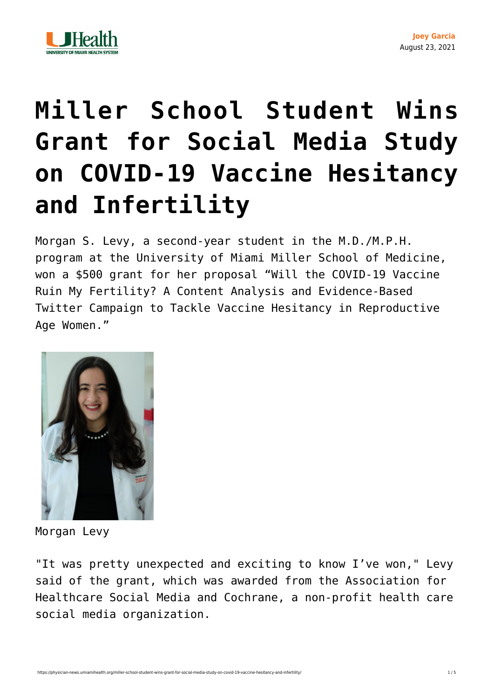

## **[Miller School Student Wins](https://physician-news.umiamihealth.org/miller-school-student-wins-grant-for-social-media-study-on-covid-19-vaccine-hesitancy-and-infertility/) [Grant for Social Media Study](https://physician-news.umiamihealth.org/miller-school-student-wins-grant-for-social-media-study-on-covid-19-vaccine-hesitancy-and-infertility/) [on COVID-19 Vaccine Hesitancy](https://physician-news.umiamihealth.org/miller-school-student-wins-grant-for-social-media-study-on-covid-19-vaccine-hesitancy-and-infertility/) [and Infertility](https://physician-news.umiamihealth.org/miller-school-student-wins-grant-for-social-media-study-on-covid-19-vaccine-hesitancy-and-infertility/)**

Morgan S. Levy, a second-year student in the M.D./M.P.H. program at the University of Miami Miller School of Medicine, won a \$500 grant for her proposal "Will the COVID-19 Vaccine Ruin My Fertility? A Content Analysis and Evidence-Based Twitter Campaign to Tackle Vaccine Hesitancy in Reproductive Age Women."



Morgan Levy

"It was pretty unexpected and exciting to know I've won," Levy said of the grant, which was awarded from the Association for Healthcare Social Media and Cochrane, a non-profit health care social media organization.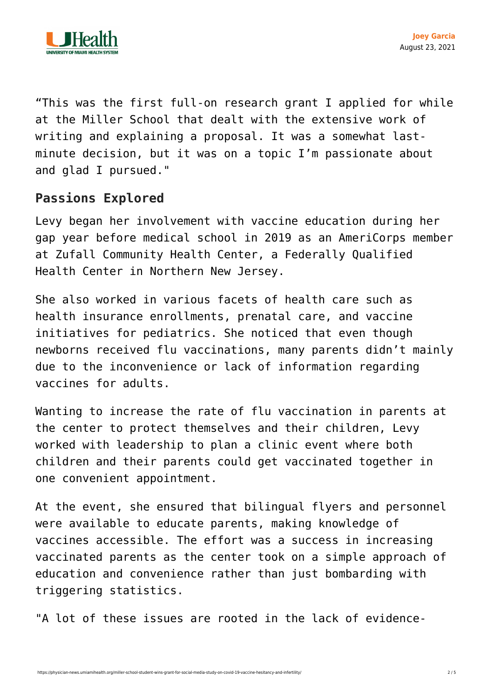

"This was the first full-on research grant I applied for while at the Miller School that dealt with the extensive work of writing and explaining a proposal. It was a somewhat lastminute decision, but it was on a topic I'm passionate about and glad I pursued."

## **Passions Explored**

Levy began her involvement with vaccine education during her gap year before medical school in 2019 as an AmeriCorps member at Zufall Community Health Center, a Federally Qualified Health Center in Northern New Jersey.

She also worked in various facets of health care such as health insurance enrollments, prenatal care, and vaccine initiatives for pediatrics. She noticed that even though newborns received flu vaccinations, many parents didn't mainly due to the inconvenience or lack of information regarding vaccines for adults.

Wanting to increase the rate of flu vaccination in parents at the center to protect themselves and their children, Levy worked with leadership to plan a clinic event where both children and their parents could get vaccinated together in one convenient appointment.

At the event, she ensured that bilingual flyers and personnel were available to educate parents, making knowledge of vaccines accessible. The effort was a success in increasing vaccinated parents as the center took on a simple approach of education and convenience rather than just bombarding with triggering statistics.

"A lot of these issues are rooted in the lack of evidence-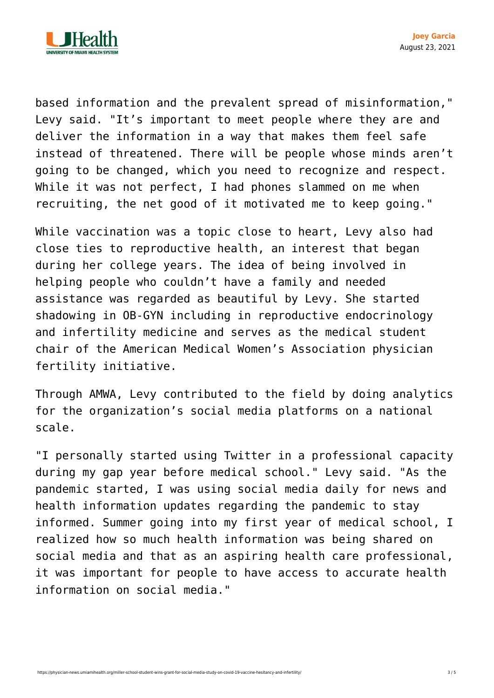

based information and the prevalent spread of misinformation," Levy said. "It's important to meet people where they are and deliver the information in a way that makes them feel safe instead of threatened. There will be people whose minds aren't going to be changed, which you need to recognize and respect. While it was not perfect, I had phones slammed on me when recruiting, the net good of it motivated me to keep going."

While vaccination was a topic close to heart, Levy also had close ties to reproductive health, an interest that began during her college years. The idea of being involved in helping people who couldn't have a family and needed assistance was regarded as beautiful by Levy. She started shadowing in OB-GYN including in reproductive endocrinology and infertility medicine and serves as the medical student chair of the American Medical Women's Association physician fertility initiative.

Through AMWA, Levy contributed to the field by doing analytics for the organization's social media platforms on a national scale.

"I personally started using Twitter in a professional capacity during my gap year before medical school." Levy said. "As the pandemic started, I was using social media daily for news and health information updates regarding the pandemic to stay informed. Summer going into my first year of medical school, I realized how so much health information was being shared on social media and that as an aspiring health care professional, it was important for people to have access to accurate health information on social media."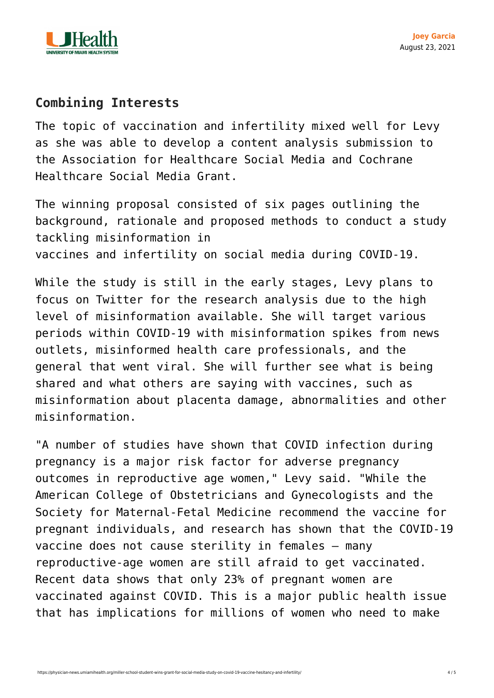

## **Combining Interests**

The topic of vaccination and infertility mixed well for Levy as she was able to develop a content analysis submission to the Association for Healthcare Social Media and Cochrane Healthcare Social Media Grant.

The winning proposal consisted of six pages outlining the background, rationale and proposed methods to conduct a study tackling misinformation in vaccines and infertility on social media during COVID-19.

While the study is still in the early stages, Levy plans to focus on Twitter for the research analysis due to the high level of misinformation available. She will target various periods within COVID-19 with misinformation spikes from news outlets, misinformed health care professionals, and the general that went viral. She will further see what is being shared and what others are saying with vaccines, such as [misinformation](https://www.sciencedirect.com/science/article/pii/S2666334121000684) about placenta damage, abnormalities and other misinformation.

"A number o[f studies](https://www.acog.org/news/news-releases/2021/07/acog-smfm-recommend-covid-19-vaccination-for-pregnant-individuals) have shown that COVID infection during pregnancy is a major risk factor for adverse pregnancy outcomes in reproductive age women," Levy said. "While the American College of Obstetricians and Gynecologists and the Society for Maternal-Fetal Medicine recommend the vaccine for pregnant individuals, and research has shown that the COVID-19 vaccine does not cause sterility in females – [many](https://www.ncbi.nlm.nih.gov/pmc/articles/PMC7984633/) [reproductive-age women are still afraid to get vaccinated.](https://www.ncbi.nlm.nih.gov/pmc/articles/PMC7984633/) Recent data shows that only 23% of pregnant women are vaccinated against COVID. This is a major public health issue that has implications for millions of women who need to make